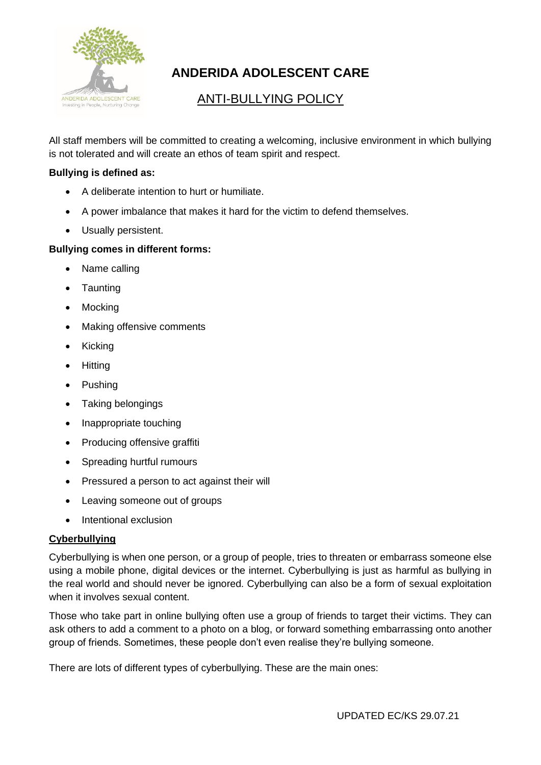

# **ANDERIDA ADOLESCENT CARE**

## ANTI-BULLYING POLICY

All staff members will be committed to creating a welcoming, inclusive environment in which bullying is not tolerated and will create an ethos of team spirit and respect.

## **Bullying is defined as:**

- A deliberate intention to hurt or humiliate.
- A power imbalance that makes it hard for the victim to defend themselves.
- Usually persistent.

## **Bullying comes in different forms:**

- Name calling
- Taunting
- Mocking
- Making offensive comments
- Kicking
- Hitting
- Pushing
- Taking belongings
- Inappropriate touching
- Producing offensive graffiti
- Spreading hurtful rumours
- Pressured a person to act against their will
- Leaving someone out of groups
- Intentional exclusion

#### **Cyberbullying**

Cyberbullying is when one person, or a group of people, tries to threaten or embarrass someone else using a mobile phone, digital devices or the internet. Cyberbullying is just as harmful as bullying in the real world and should never be ignored. Cyberbullying can also be a form of sexual exploitation when it involves sexual content.

Those who take part in online bullying often use a group of friends to target their victims. They can ask others to add a comment to a photo on a blog, or forward something embarrassing onto another group of friends. Sometimes, these people don't even realise they're bullying someone.

There are lots of different types of cyberbullying. These are the main ones: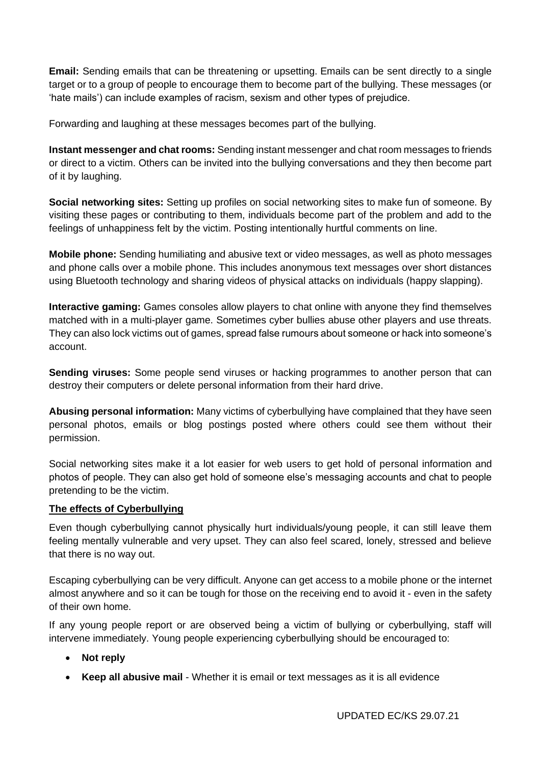**Email:** Sending emails that can be threatening or upsetting. Emails can be sent directly to a single target or to a group of people to encourage them to become part of the bullying. These messages (or 'hate mails') can include examples of racism, sexism and other types of prejudice.

Forwarding and laughing at these messages becomes part of the bullying.

**Instant messenger and chat rooms:** Sending instant messenger and chat room messages to friends or direct to a victim. Others can be invited into the bullying conversations and they then become part of it by laughing.

**Social networking sites:** Setting up profiles on social networking sites to make fun of someone. By visiting these pages or contributing to them, individuals become part of the problem and add to the feelings of unhappiness felt by the victim. Posting intentionally hurtful comments on line.

**Mobile phone:** Sending humiliating and abusive text or video messages, as well as photo messages and phone calls over a mobile phone. This includes anonymous text messages over short distances using Bluetooth technology and sharing videos of physical attacks on individuals (happy slapping).

**Interactive gaming:** Games consoles allow players to chat online with anyone they find themselves matched with in a multi-player game. Sometimes cyber bullies abuse other players and use threats. They can also lock victims out of games, spread false rumours about someone or hack into someone's account.

**Sending viruses:** Some people send viruses or hacking programmes to another person that can destroy their computers or delete personal information from their hard drive.

**Abusing personal information:** Many victims of cyberbullying have complained that they have seen personal photos, emails or blog postings posted where others could see them without their permission.

Social networking sites make it a lot easier for web users to get hold of personal information and photos of people. They can also get hold of someone else's messaging accounts and chat to people pretending to be the victim.

#### **The effects of Cyberbullying**

Even though cyberbullying cannot physically hurt individuals/young people, it can still leave them feeling mentally vulnerable and very upset. They can also feel scared, lonely, stressed and believe that there is no way out.

Escaping cyberbullying can be very difficult. Anyone can get access to a mobile phone or the internet almost anywhere and so it can be tough for those on the receiving end to avoid it - even in the safety of their own home.

If any young people report or are observed being a victim of bullying or cyberbullying, staff will intervene immediately. Young people experiencing cyberbullying should be encouraged to:

- **Not reply**
- **Keep all abusive mail**  Whether it is email or text messages as it is all evidence